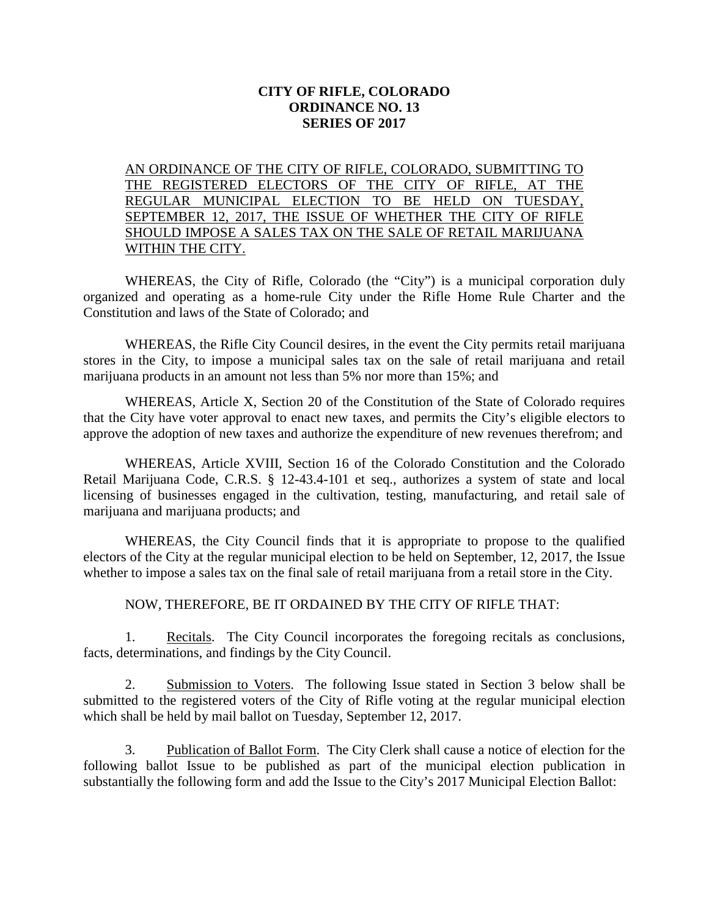## **CITY OF RIFLE, COLORADO ORDINANCE NO. 13 SERIES OF 2017**

AN ORDINANCE OF THE CITY OF RIFLE, COLORADO, SUBMITTING TO THE REGISTERED ELECTORS OF THE CITY OF RIFLE, AT THE REGULAR MUNICIPAL ELECTION TO BE HELD ON TUESDAY, SEPTEMBER 12, 2017, THE ISSUE OF WHETHER THE CITY OF RIFLE SHOULD IMPOSE A SALES TAX ON THE SALE OF RETAIL MARIJUANA WITHIN THE CITY.

WHEREAS, the City of Rifle, Colorado (the "City") is a municipal corporation duly organized and operating as a home-rule City under the Rifle Home Rule Charter and the Constitution and laws of the State of Colorado; and

WHEREAS, the Rifle City Council desires, in the event the City permits retail marijuana stores in the City, to impose a municipal sales tax on the sale of retail marijuana and retail marijuana products in an amount not less than 5% nor more than 15%; and

WHEREAS, Article X, Section 20 of the Constitution of the State of Colorado requires that the City have voter approval to enact new taxes, and permits the City's eligible electors to approve the adoption of new taxes and authorize the expenditure of new revenues therefrom; and

WHEREAS, Article XVIII, Section 16 of the Colorado Constitution and the Colorado Retail Marijuana Code, C.R.S. § 12-43.4-101 et seq., authorizes a system of state and local licensing of businesses engaged in the cultivation, testing, manufacturing, and retail sale of marijuana and marijuana products; and

WHEREAS, the City Council finds that it is appropriate to propose to the qualified electors of the City at the regular municipal election to be held on September, 12, 2017, the Issue whether to impose a sales tax on the final sale of retail marijuana from a retail store in the City.

NOW, THEREFORE, BE IT ORDAINED BY THE CITY OF RIFLE THAT:

1. Recitals. The City Council incorporates the foregoing recitals as conclusions, facts, determinations, and findings by the City Council.

2. Submission to Voters. The following Issue stated in Section 3 below shall be submitted to the registered voters of the City of Rifle voting at the regular municipal election which shall be held by mail ballot on Tuesday, September 12, 2017.

3. Publication of Ballot Form. The City Clerk shall cause a notice of election for the following ballot Issue to be published as part of the municipal election publication in substantially the following form and add the Issue to the City's 2017 Municipal Election Ballot: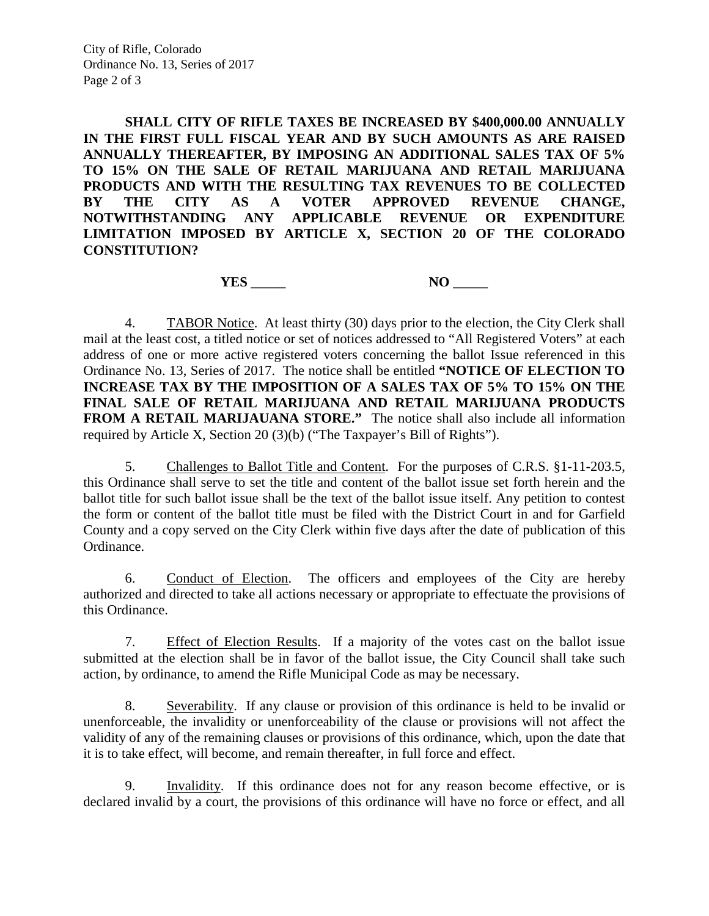City of Rifle, Colorado Ordinance No. 13, Series of 2017 Page 2 of 3

**SHALL CITY OF RIFLE TAXES BE INCREASED BY \$400,000.00 ANNUALLY IN THE FIRST FULL FISCAL YEAR AND BY SUCH AMOUNTS AS ARE RAISED ANNUALLY THEREAFTER, BY IMPOSING AN ADDITIONAL SALES TAX OF 5% TO 15% ON THE SALE OF RETAIL MARIJUANA AND RETAIL MARIJUANA PRODUCTS AND WITH THE RESULTING TAX REVENUES TO BE COLLECTED BY THE CITY AS A VOTER APPROVED REVENUE CHANGE, NOTWITHSTANDING ANY APPLICABLE REVENUE OR EXPENDITURE LIMITATION IMPOSED BY ARTICLE X, SECTION 20 OF THE COLORADO CONSTITUTION?**

**YES** NO

4. TABOR Notice. At least thirty (30) days prior to the election, the City Clerk shall mail at the least cost, a titled notice or set of notices addressed to "All Registered Voters" at each address of one or more active registered voters concerning the ballot Issue referenced in this Ordinance No. 13, Series of 2017. The notice shall be entitled **"NOTICE OF ELECTION TO INCREASE TAX BY THE IMPOSITION OF A SALES TAX OF 5% TO 15% ON THE FINAL SALE OF RETAIL MARIJUANA AND RETAIL MARIJUANA PRODUCTS FROM A RETAIL MARIJAUANA STORE."** The notice shall also include all information required by Article X, Section 20 (3)(b) ("The Taxpayer's Bill of Rights").

5. Challenges to Ballot Title and Content. For the purposes of C.R.S. §1-11-203.5, this Ordinance shall serve to set the title and content of the ballot issue set forth herein and the ballot title for such ballot issue shall be the text of the ballot issue itself. Any petition to contest the form or content of the ballot title must be filed with the District Court in and for Garfield County and a copy served on the City Clerk within five days after the date of publication of this Ordinance.

6. Conduct of Election. The officers and employees of the City are hereby authorized and directed to take all actions necessary or appropriate to effectuate the provisions of this Ordinance.

7. Effect of Election Results. If a majority of the votes cast on the ballot issue submitted at the election shall be in favor of the ballot issue, the City Council shall take such action, by ordinance, to amend the Rifle Municipal Code as may be necessary.

8. Severability. If any clause or provision of this ordinance is held to be invalid or unenforceable, the invalidity or unenforceability of the clause or provisions will not affect the validity of any of the remaining clauses or provisions of this ordinance, which, upon the date that it is to take effect, will become, and remain thereafter, in full force and effect.

9. Invalidity. If this ordinance does not for any reason become effective, or is declared invalid by a court, the provisions of this ordinance will have no force or effect, and all